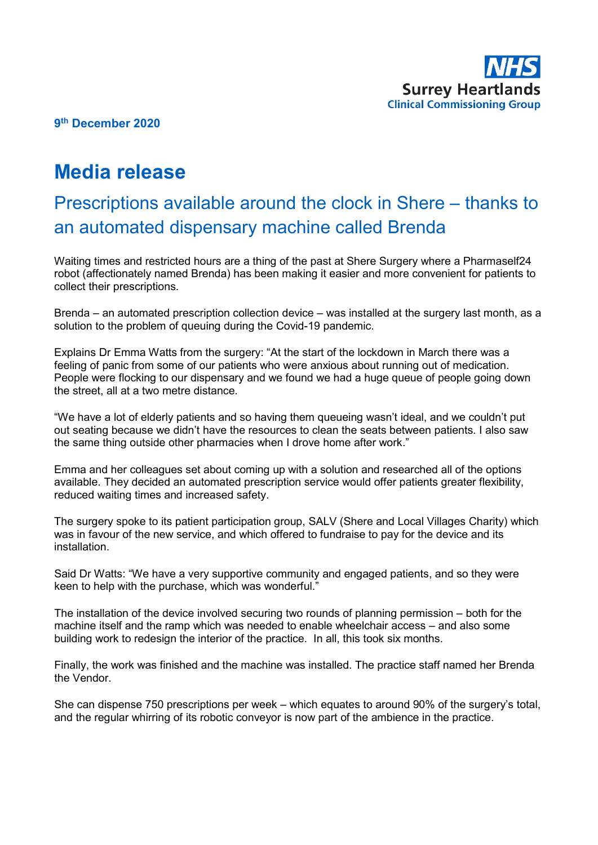

### **9th December 2020**

# **Media release**

## Prescriptions available around the clock in Shere – thanks to an automated dispensary machine called Brenda

Waiting times and restricted hours are a thing of the past at Shere Surgery where a Pharmaself24 robot (affectionately named Brenda) has been making it easier and more convenient for patients to collect their prescriptions.

Brenda – an automated prescription collection device – was installed at the surgery last month, as a solution to the problem of queuing during the Covid-19 pandemic.

Explains Dr Emma Watts from the surgery: "At the start of the lockdown in March there was a feeling of panic from some of our patients who were anxious about running out of medication. People were flocking to our dispensary and we found we had a huge queue of people going down the street, all at a two metre distance.

"We have a lot of elderly patients and so having them queueing wasn't ideal, and we couldn't put out seating because we didn't have the resources to clean the seats between patients. I also saw the same thing outside other pharmacies when I drove home after work."

Emma and her colleagues set about coming up with a solution and researched all of the options available. They decided an automated prescription service would offer patients greater flexibility, reduced waiting times and increased safety.

The surgery spoke to its patient participation group, SALV (Shere and Local Villages Charity) which was in favour of the new service, and which offered to fundraise to pay for the device and its installation.

Said Dr Watts: "We have a very supportive community and engaged patients, and so they were keen to help with the purchase, which was wonderful."

The installation of the device involved securing two rounds of planning permission – both for the machine itself and the ramp which was needed to enable wheelchair access – and also some building work to redesign the interior of the practice. In all, this took six months.

Finally, the work was finished and the machine was installed. The practice staff named her Brenda the Vendor.

She can dispense 750 prescriptions per week – which equates to around 90% of the surgery's total, and the regular whirring of its robotic conveyor is now part of the ambience in the practice.